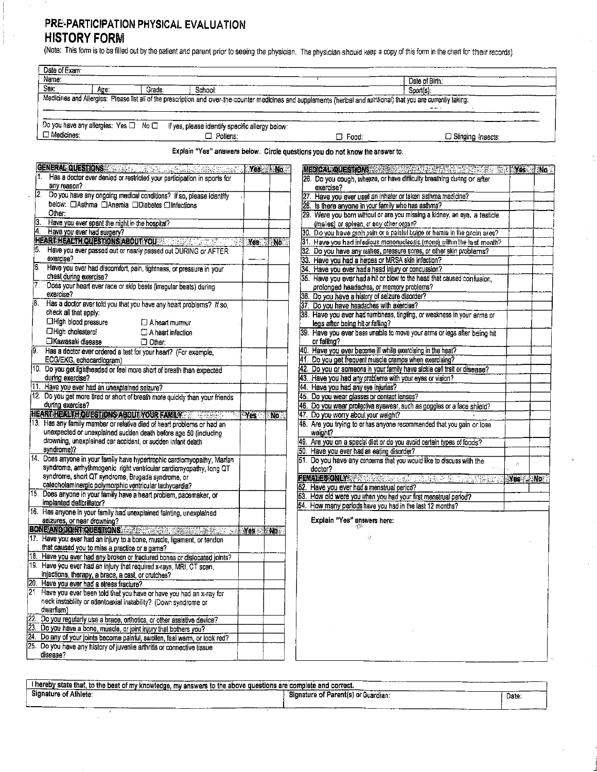## PRE-PARTICIPATION PHYSICAL EVALUATION **HISTORY FORM**

(Note: This form is to be filled out by the patient and parent prior to seeing the physician. The physician should keep a copy of this form in the chart for their records).

|                         | Date of Exam:                                                                                                                                                       |         |                 |                                                                                                                      |                          |      |
|-------------------------|---------------------------------------------------------------------------------------------------------------------------------------------------------------------|---------|-----------------|----------------------------------------------------------------------------------------------------------------------|--------------------------|------|
| Name:<br>Date of Birth: |                                                                                                                                                                     |         |                 |                                                                                                                      |                          |      |
|                         | S <sub>0</sub><br>Age:<br>Grade:<br>School:                                                                                                                         |         |                 | Sport(s).                                                                                                            |                          |      |
|                         | Medicines and Allergies: Please list all of the prescription and over-the-counter medicines and supplements (herbal and nulritional) that you are currently taking: |         |                 |                                                                                                                      |                          |      |
|                         | Do you have any allergies: Yes $\Box$ No $\Box$ If yes, please identify specific allergy below:<br>□ Medicines:<br>$\Box$ Pollens:                                  |         |                 | $\Box$ Food:<br>$\Box$ Stinging Insects:                                                                             |                          |      |
|                         |                                                                                                                                                                     |         |                 | Explain "Yes" answers below. Circle questions you do not know the answer to.                                         |                          |      |
|                         | GENERAL QUESTIONS CONSTRUCTION CONTINUES.                                                                                                                           |         | <b>Nest No.</b> | MEDICAL QUESTIONS AND RESIDENCE TO A RESIDENCE.                                                                      |                          | ‼No∴ |
|                         | Has a doctor ever denied or restricted your participation in sports for                                                                                             |         |                 | 26. Do you cough, wheeze, or have difficulty breathing during or after                                               |                          |      |
|                         | any reason?                                                                                                                                                         |         |                 | exercise?                                                                                                            |                          |      |
|                         | 2. Do you have any ongoing medical conditions? If so, please identify                                                                                               |         |                 | 27. Have you ever used an inhaler or taken asthma medicine?                                                          |                          |      |
|                         | below: ClAsthma ClAnemia CDiabetes CInfections<br>Other:                                                                                                            |         |                 | 28. Is there anyone in your family who has asthma?                                                                   |                          |      |
|                         | Have you ever spent the night in the hospital?                                                                                                                      |         |                 | 29. Were you born without or are you missing a kidney, an eye, a testicle<br>(males) or spleen, or any offier organ? |                          |      |
|                         | Have you ever had surgery?                                                                                                                                          |         |                 | 30. Do you have groin pain or a paintul bulge or hernia in the groin area?                                           |                          |      |
|                         | HEARTH EALTH QUESTIONS ABOUT YOU AND A CONTROL TO A                                                                                                                 | Yes     | No.             | 31. Have you had infedious mononucleosis (mono) within the last month?                                               |                          |      |
| 15.                     | Have you ever passed out or nearly passed out DURING or AFTER                                                                                                       |         |                 | 32. Do you have any rashes, pressure scres, or other skin problems?                                                  |                          |      |
|                         | exercise?                                                                                                                                                           |         |                 | 33. Have you had a herpes or MRSA skin infection?                                                                    |                          |      |
|                         | Have you ever had discomfort, pain, tightness, or pressure in your                                                                                                  |         |                 | 34. Have you ever had a head injury or concussion?                                                                   |                          |      |
|                         | chest during exercise?                                                                                                                                              |         |                 | 35. Have you ever had a hit or blow to the head that caused confusion.                                               |                          |      |
|                         | Does your heart ever race or skip beats (irregular beats) during                                                                                                    |         |                 | prolonged headaches, or memory problems?                                                                             |                          |      |
|                         | exercise?                                                                                                                                                           |         |                 | 36. Do you have a history of seizure disorder?                                                                       |                          |      |
|                         | Has a doctor ever told you that you have any heart problems? If so,<br>check all that apply:                                                                        |         |                 | Do you have headaches with exercise?                                                                                 |                          |      |
|                         | □High blood pressure<br>$\Box$ A heart murmur                                                                                                                       |         |                 | 38. Have you ever had numbness, tingling, or weakness in your arms or                                                |                          |      |
|                         | □High cholesterol<br>$\Box$ A heart infection                                                                                                                       |         |                 | legs after being hit or falling?<br>39. Have you ever been unable to move your arms or legs after being hit          |                          |      |
|                         | CKawasaki disease<br>□ Other:                                                                                                                                       |         |                 | or falling?                                                                                                          |                          |      |
|                         | Has a doctor ever ordered a test for your heart? (For example,                                                                                                      |         |                 | 40. Have you ever become if while exercising in the heat?                                                            |                          |      |
|                         | ECG/EKG, echocardiogram)                                                                                                                                            |         |                 | Do you get frequent muscle cramps when exercising?<br>41.                                                            |                          |      |
|                         | 10. Do you get lightheaded or feel more short of breath than expected                                                                                               |         |                 | 42. Do you or someone in your family have sickle cell trait or disease?                                              |                          |      |
|                         | during exercise?                                                                                                                                                    |         |                 | 43. Have you had any problems with your eyes or vision?                                                              |                          |      |
|                         | Have you ever had an unexplained seizure?                                                                                                                           |         |                 | 44. Have you had any eye injuries?                                                                                   |                          |      |
|                         | 12. Do you get more tired or short of breath more quickly than your friends                                                                                         |         |                 | 45. Do you wear glasses or contact lenses?                                                                           |                          |      |
|                         | during exercise?                                                                                                                                                    |         |                 | 46. Do you wear protective eyewear, such as goggles or a face shield?                                                |                          |      |
|                         | <b>HEART HEALTH QUESTIONS ABOUT YOUR FAMILY AND RESIST OF A STATE</b>                                                                                               | ੇ ∜™esੇ | No.             | 47. Do you worry about your weight?                                                                                  |                          |      |
|                         | 13. Has any family member or relative died of heart problems or had an                                                                                              |         |                 | 48. Are you trying to or has anyone recommended that you gain or lose                                                |                          |      |
|                         | unexpected or unexplained sudden death before age 50 (including<br>drowning, unexplained car accident, or sudden infant death                                       |         |                 | weight?                                                                                                              |                          |      |
|                         | syndrome)?                                                                                                                                                          |         |                 | 49. Are you on a special diet or do you avoid certain types of foods?                                                |                          |      |
| 14.                     | Does anyone in your family have hypertrophic cardiomyopathy, Marfan                                                                                                 |         |                 | 50. Have you ever had an eating disorder?<br>51. Do you have any concerns that you would like to discuss with the    |                          |      |
|                         | syndrome, arrhythmogenic right ventricular cardiomyopathy, long QT                                                                                                  |         |                 | doctor?                                                                                                              | $\mathcal{G}_\mathrm{f}$ |      |
|                         | syndrome, short QT syndrome, Brugada syndrome, or                                                                                                                   |         |                 | FEMALES ONLY A RESIDENCE OF THE RESIDENCE OF                                                                         | Yes No.                  |      |
|                         | catecholaminergic polymorphic ventricular tachycardia?                                                                                                              |         |                 | 52. Have you ever had a menstrual period?                                                                            |                          |      |
| 15.                     | Does anyone in your family have a heart problem, pacemaker, or                                                                                                      |         |                 | 53. How old were you when you had your first menstrual period?                                                       |                          |      |
|                         | implanted defibrillator?                                                                                                                                            |         |                 | 54. How many periods have you had in the last 12 months?                                                             |                          |      |
|                         | 16. Has anyone in your family had unexplained fainting, unexplained                                                                                                 |         |                 | Explain "Yes" answers here:                                                                                          |                          |      |
|                         | seizures, or near drowning?                                                                                                                                         |         |                 |                                                                                                                      |                          |      |
|                         | BONE AND JOINT QUESTIONS AND SALE AND CONFIDENTIAL CONTINUES.<br>17. Have you ever had an injury to a bone, muscle, ligament, or tendon                             | Yes     | <b>PAID</b>     | ÷                                                                                                                    |                          |      |
|                         | that caused you to miss a practice or a game?                                                                                                                       |         |                 |                                                                                                                      |                          |      |
|                         | 18. Have you ever had any broken or fractured bones or dislocated joints?                                                                                           |         |                 |                                                                                                                      |                          |      |
|                         | 19. Have you ever had an injury that required x-rays, MRI, CT scan,                                                                                                 |         |                 |                                                                                                                      |                          |      |
|                         | injections, therapy, a brace, a cast, or crutches?                                                                                                                  |         |                 |                                                                                                                      |                          |      |
|                         | 20. Have you ever had a stress fracture?                                                                                                                            |         |                 |                                                                                                                      |                          |      |
|                         | 21. Have you ever been told that you have or have you had an x-ray for                                                                                              |         |                 |                                                                                                                      |                          |      |
|                         | neck instability or atlantoaxial instability? (Down syndrome or<br>owarfism)                                                                                        |         |                 |                                                                                                                      |                          |      |
|                         | 22. Do you regularly use a brace, orthotics, or other assistive device?                                                                                             |         |                 |                                                                                                                      |                          |      |
|                         | 23. Do you have a bone, muscle, or joint injury that bothers you?                                                                                                   |         |                 |                                                                                                                      |                          |      |
|                         | 24. Do any of your joints become painful, swollen, feel warm, or look red?                                                                                          |         |                 |                                                                                                                      |                          |      |
|                         | 25. Do you have any history of juvenile arthritis or connective tissue<br>disease?                                                                                  |         |                 |                                                                                                                      |                          |      |

| l hereby state that.<br>t, to the best of my knowledge, my answers to the above questions are complete and correct. |                                     |      |
|---------------------------------------------------------------------------------------------------------------------|-------------------------------------|------|
| Signature of Athlete.                                                                                               | Signature of Parent(s) or Guardian: | Date |
|                                                                                                                     |                                     |      |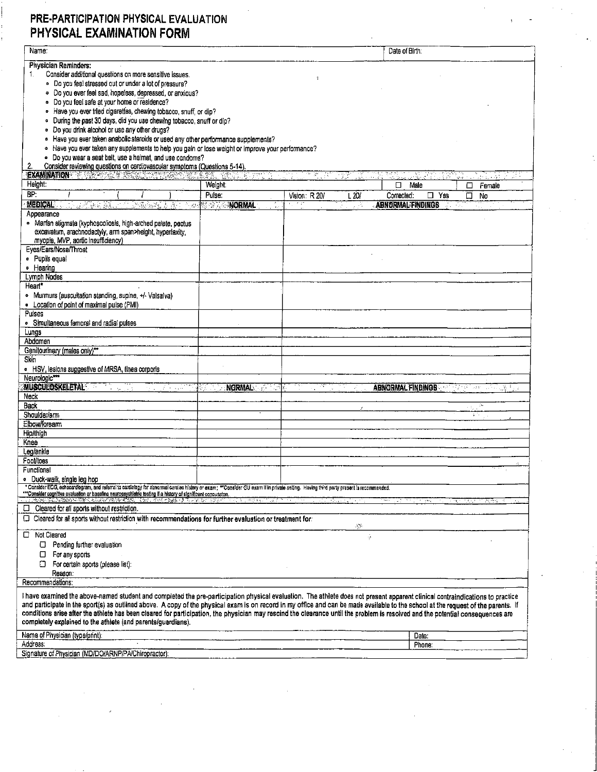## PRE-PARTICIPATION PHYSICAL EVALUATION PHYSICAL EXAMINATION FORM

| Name:                                                                                                                                                                                                                                                                                                                                                                                                                                                                                                                                                                                                                  |                     |               |       | Date of Birth:           |          |                         |        |
|------------------------------------------------------------------------------------------------------------------------------------------------------------------------------------------------------------------------------------------------------------------------------------------------------------------------------------------------------------------------------------------------------------------------------------------------------------------------------------------------------------------------------------------------------------------------------------------------------------------------|---------------------|---------------|-------|--------------------------|----------|-------------------------|--------|
| <b>Physician Reminders:</b><br>Consider additional questions on more sensitive issues.<br>1.<br>· Do you feel stressed out or under a lot of pressure?<br>· Do you ever feel sad, hopeless, depressed, or anxious?                                                                                                                                                                                                                                                                                                                                                                                                     |                     |               |       |                          |          |                         |        |
| · Do you feel safe at your home or residence?<br>· Have you ever tried cigarettes, chewing tobacco, snuff, or dip?<br>· During the past 30 days, did you use chewing tobacco, snuff or dip?<br>Do you drink alcohol or use any other drugs?<br>۰                                                                                                                                                                                                                                                                                                                                                                       |                     |               |       |                          |          |                         |        |
| • Have you ever taken anabolic steroids or used any other performance supplements?<br>• Have you ever taken any supplements to help you gain or lose weight or improve your performance?<br>· Do you wear a seat belt, use a helmet, and use condoms?                                                                                                                                                                                                                                                                                                                                                                  |                     |               |       |                          |          |                         |        |
| Consider reviewing questions on cardiovascular symptoms (Questions 5-14).<br>2.<br>EXAMINATION THREE RESERVES TO THE RESERVE                                                                                                                                                                                                                                                                                                                                                                                                                                                                                           | - 발생 이 사이 가지 않아?    | 36            | Y.    |                          |          |                         |        |
| Height:                                                                                                                                                                                                                                                                                                                                                                                                                                                                                                                                                                                                                | Weight:             |               |       | ◻                        | Male     | □                       | Female |
| BF                                                                                                                                                                                                                                                                                                                                                                                                                                                                                                                                                                                                                     | Pulse:              | Vision: R 20/ | L 20/ | Corrected:               | Yes<br>□ | $\overline{\Box}$<br>No |        |
| <b>MEDICAL</b><br>计复编编辑 经人员 计编码编码 法法<br>$\mathcal{F}=\{0,1\}$                                                                                                                                                                                                                                                                                                                                                                                                                                                                                                                                                          | <b>BEST ANORMAL</b> | -77           | Ф,    | <b>ABNORMAL FINDINGS</b> |          |                         |        |
| Appearance<br>· Marfan stigmata (kyphoscoliosis, high-arched palate, pectus<br>excavatum, arachnodactyly, arm span>height, hyperlaxity,<br>myopia, MVP, aortic insufficiency)                                                                                                                                                                                                                                                                                                                                                                                                                                          |                     |               |       |                          |          |                         |        |
| Eyes/Ears/Nose/Throat                                                                                                                                                                                                                                                                                                                                                                                                                                                                                                                                                                                                  |                     |               |       |                          |          |                         |        |
| · Pupils equal<br>· Hearing                                                                                                                                                                                                                                                                                                                                                                                                                                                                                                                                                                                            |                     |               |       |                          |          |                         |        |
| Lymph Nodes                                                                                                                                                                                                                                                                                                                                                                                                                                                                                                                                                                                                            |                     |               |       |                          |          |                         |        |
| Heart*                                                                                                                                                                                                                                                                                                                                                                                                                                                                                                                                                                                                                 |                     |               |       |                          |          |                         |        |
| • Murmurs (auscultation standing, supine, +/- Valsalva)                                                                                                                                                                                                                                                                                                                                                                                                                                                                                                                                                                |                     |               |       |                          |          |                         |        |
| . Location of point of maximal pulse (PMI)<br>Pulses                                                                                                                                                                                                                                                                                                                                                                                                                                                                                                                                                                   |                     |               |       |                          |          |                         |        |
| · Simultaneous femoral and radial pulses                                                                                                                                                                                                                                                                                                                                                                                                                                                                                                                                                                               |                     |               |       |                          |          |                         |        |
| Lungs                                                                                                                                                                                                                                                                                                                                                                                                                                                                                                                                                                                                                  |                     |               |       |                          |          |                         |        |
| Abdomen<br>Genitourinary (males only)***                                                                                                                                                                                                                                                                                                                                                                                                                                                                                                                                                                               |                     |               |       |                          |          |                         |        |
| Skin                                                                                                                                                                                                                                                                                                                                                                                                                                                                                                                                                                                                                   |                     |               |       |                          |          |                         |        |
| • HSV, lesions suggestive of MRSA, tinea corporis                                                                                                                                                                                                                                                                                                                                                                                                                                                                                                                                                                      |                     |               |       |                          |          |                         |        |
| Neurologic***<br><b>MUSCULOSKELETAL</b><br>di kacamatan                                                                                                                                                                                                                                                                                                                                                                                                                                                                                                                                                                | <b>NORMAL</b>       |               |       | <b>ABNORMAL FINDINGS</b> |          | τŵ<br>$\sim 2.5$        |        |
| Neck                                                                                                                                                                                                                                                                                                                                                                                                                                                                                                                                                                                                                   |                     |               |       |                          |          |                         |        |
| <b>Back</b>                                                                                                                                                                                                                                                                                                                                                                                                                                                                                                                                                                                                            |                     |               |       |                          |          |                         |        |
| Shoulder/arm                                                                                                                                                                                                                                                                                                                                                                                                                                                                                                                                                                                                           |                     |               |       |                          |          | 474                     |        |
| Elbow/forearm<br>Hip/thigh                                                                                                                                                                                                                                                                                                                                                                                                                                                                                                                                                                                             |                     |               |       |                          |          |                         |        |
| Knee                                                                                                                                                                                                                                                                                                                                                                                                                                                                                                                                                                                                                   |                     |               |       |                          |          |                         |        |
| Leg/ankle                                                                                                                                                                                                                                                                                                                                                                                                                                                                                                                                                                                                              |                     |               |       |                          |          |                         |        |
| Foot/toes                                                                                                                                                                                                                                                                                                                                                                                                                                                                                                                                                                                                              |                     |               |       |                          |          |                         |        |
| Functional<br>• Duck-walk, single leg hop                                                                                                                                                                                                                                                                                                                                                                                                                                                                                                                                                                              |                     |               |       |                          |          |                         |        |
| * Consider ECG, echocardiogram, and referral to cardiology for abnormal cardiac history or exam; **Consider CU exam if in private setting. Having third party present is recommended.                                                                                                                                                                                                                                                                                                                                                                                                                                  |                     |               |       |                          |          |                         |        |
| ""Consider cognitive evaluation or baseline neuropsychiatric testing if a history of significent concussion.                                                                                                                                                                                                                                                                                                                                                                                                                                                                                                           |                     |               |       |                          |          |                         |        |
| Cleared for all sports without restriction.<br>□                                                                                                                                                                                                                                                                                                                                                                                                                                                                                                                                                                       |                     |               |       |                          |          |                         |        |
| C Cleared for all sports without restriction with recommendations for further evaluation or treatment for:                                                                                                                                                                                                                                                                                                                                                                                                                                                                                                             |                     |               | J.    |                          |          |                         |        |
| Not Cleared                                                                                                                                                                                                                                                                                                                                                                                                                                                                                                                                                                                                            |                     |               | ż     |                          |          |                         |        |
| Pending further evaluation<br>σ                                                                                                                                                                                                                                                                                                                                                                                                                                                                                                                                                                                        |                     |               |       |                          |          |                         |        |
| For any sports<br>□                                                                                                                                                                                                                                                                                                                                                                                                                                                                                                                                                                                                    |                     |               |       |                          |          |                         |        |
| ▫<br>For certain sports (please list):<br>Reason:                                                                                                                                                                                                                                                                                                                                                                                                                                                                                                                                                                      |                     |               |       |                          |          |                         |        |
| Recommendations:                                                                                                                                                                                                                                                                                                                                                                                                                                                                                                                                                                                                       |                     |               |       |                          |          |                         |        |
| I have examined the above-named student and completed the pre-participation physical evaluation. The athlete does not present apparent clinical contraindications to practice<br>and participate in the sport(s) as outlined above. A copy of the physical exam is on record in my office and can be made available to the school at the request of the parents. If<br>conditions arise after the athlete has been cleared for participation, the physician may rescind the clearance until the problem is resolved and the potential consequences are<br>completely explained to the athlete (and parents/guardians). |                     |               |       |                          |          |                         |        |
| Name of Physician (type/print):                                                                                                                                                                                                                                                                                                                                                                                                                                                                                                                                                                                        |                     |               |       |                          | Date:    |                         |        |
| Address:                                                                                                                                                                                                                                                                                                                                                                                                                                                                                                                                                                                                               |                     |               |       |                          | Phone:   |                         |        |
| Signature of Physician (MD/DO/ARNP/PA/Chiropractor):                                                                                                                                                                                                                                                                                                                                                                                                                                                                                                                                                                   |                     |               |       |                          |          |                         |        |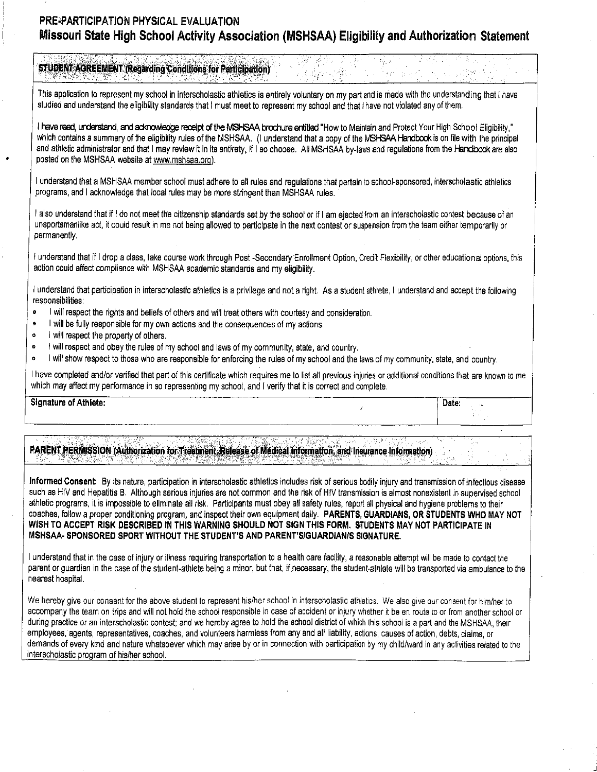## **PRE,PARTICIPATION PHYSICAL EVALUATION Missouri State High School Activity Association (MSHSAA) Eligibility and Authorization Statement**

|                                                                                                                                                                                                                                        | <b>STUDENT AGREEMENT (Regarding Conditions for Participation)</b>                                                                                                                                                                                                                                                                                                                                                                                     |  |  |  |
|----------------------------------------------------------------------------------------------------------------------------------------------------------------------------------------------------------------------------------------|-------------------------------------------------------------------------------------------------------------------------------------------------------------------------------------------------------------------------------------------------------------------------------------------------------------------------------------------------------------------------------------------------------------------------------------------------------|--|--|--|
|                                                                                                                                                                                                                                        | This application to represent my school in interscholastic athletics is entirely voluntary on my part and is made with the understanding that I have<br>studied and understand the eligibility standards that I must meet to represent my school and that I have not violated any of them.                                                                                                                                                            |  |  |  |
| posted on the MSHSAA website at www.mshsaa.org).                                                                                                                                                                                       | I have read, understand, and acknowledge receipt of the MSHSAA brochure entitled "How to Maintain and Protect Your High School Eligibility,"<br>which contains a summary of the eligibility rules of the MSHSAA. (I understand that a copy of the MSHSAA Handbook is on file with the principal<br>and athletic administrator and that I may review it in its entirety, if I so choose. All MSHSAA by-laws and regulations from the Handbook are also |  |  |  |
| I understand that a MSHSAA member school must adhere to all rules and regulations that pertain to school-sponsored, interscholastic athletics<br>programs, and I acknowledge that local rules may be more stringent than MSHSAA rules. |                                                                                                                                                                                                                                                                                                                                                                                                                                                       |  |  |  |
| permanently.                                                                                                                                                                                                                           | also understand that if I do not meet the citizenship standards set by the school or if I am ejected from an interscholastic contest because of an<br>unsportsmanlike act, it could result in me not being allowed to participate in the next contest or suspension from the team either temporarily or                                                                                                                                               |  |  |  |
|                                                                                                                                                                                                                                        | I understand that if I drop a class, take course work through Post -Secondary Enrollment Option, Credit Flexibility, or other educational options, this<br>action could affect compliance with MSHSAA academic standards and my eligibility.                                                                                                                                                                                                          |  |  |  |
| responsibilities:                                                                                                                                                                                                                      | l understand that participation in interscholastic athletics is a privilege and not a right. As a student athlete, I understand and accept the following                                                                                                                                                                                                                                                                                              |  |  |  |
| $\bullet$<br>۰<br>I will respect the property of others.<br>۰                                                                                                                                                                          | will respect the rights and beliefs of others and will treat others with courtesy and consideration.<br>will be fully responsible for my own actions and the consequences of my actions.                                                                                                                                                                                                                                                              |  |  |  |
| ۰<br>۰                                                                                                                                                                                                                                 | will respect and obey the rules of my school and laws of my community, state, and country.<br>will show respect to those who are responsible for enforcing the rules of my school and the laws of my community, state, and country.                                                                                                                                                                                                                   |  |  |  |
|                                                                                                                                                                                                                                        | I have completed and/or verified that part of this certificate which requires me to list all previous injuries or additional conditions that are known to me<br>which may affect my performance in so representing my school, and I verify that it is correct and complete.                                                                                                                                                                           |  |  |  |

PARENT PERMISSION (Authorization for Treatment, Release of Medical Information, and Insurance Information)

•

**Signature of Athlete:** Date: **Date: Date: Date: Date: Date: Date: Date:** 

**Informed Consent:** By its nature, participation in interscholastic athletics includes risk of serious bodily injury and transmission of infectious disease such as HIV and Hepatitis B. Although serious injuries are not common and the risk of HIV transmission is almost nonexistent in supervised school athletic programs, it is impossible to eliminate all risk. Participants must obey all safety rules, report all physical and hygiene problems to their coaches, follow aproper conditioning program, and inspect their own equipment daily. **PARENTS, GUARDIANS, OR STUDENTS WHO MAY NOT**  WISH TO ACCEPT RISK DESCRIBED IN THIS WARNING SHOULD NOT SIGN THIS FORM. STUDENTS MAY NOT PARTICIPATE IN **MSHSAA- SPONSORED SPORT WITHOUT THE STUDENT'S AND PARENT'S/GUARDIAN/\$ SIGNATURE.** 

I understand that in the case of injury or illness requiring transportation to ahealth care facility, areasonable attempt will be made to contact the parent or guardian in the case of the student-athlete being a minor, but that, if necessary, the student-athlete will be transported via ambulance to the nearest hospital.

We hereby give our consent for the above student to represent his/her school in interscholastic athletics. We also give our consent for him/her to accompany the team on trips and will not hold the school responsible in case of accident or injury whether it be en route to or from another school or during practice or an interscholastic contest; and we hereby agree to hold the school district of which this school is apart and the MSHSAA, their employees, agents, representatives, coaches, and volunteers harmless from any and all liability, actions, causes of action, debts, claims, or demands of every kind and nature whatsoever which may arise by or in connection with participation by my child/ward in any activities related to the interscholastic program of his/her school.

J